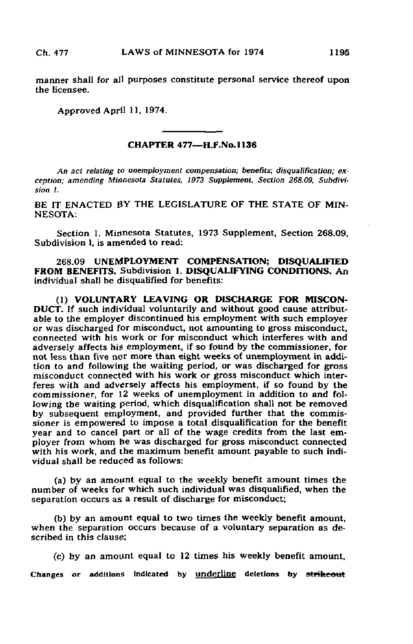manner shall for all purposes constitute personal service thereof upon the licensee.

Approved April 11, 1974.

## CHAPTER 477—H.F.No.l 136

An act relating to unemployment compensation; benefits; disqualification; exception; amending Minnesota Statutes. 1973 Supplement, Section 268.09, Subdivision I.

BE IT ENACTED BY THE LEGISLATURE OF THE STATE OF MIN-NESOTA:

Section 1. Minnesota Statutes, 1973 Supplement, Section 268.09, Subdivision *I*, is amended to read:

268,09 UNEMPLOYMENT COMPENSATION; DISQUALIFIED FROM BENEFITS. Subdivision 1. DISQUALIFYING CONDITIONS. An individual shall be disqualified for benefits:

(1) VOLUNTARY LEAVING OR DISCHARGE FOR MISCON-DUCT. If such individual voluntarily and without good cause attributable to the employer discontinued his employment with such employer or was discharged for misconduct, not amounting to gross misconduct, connected with his work or for misconduct which interferes with and adversely affects his employment, if so found by the commissioner, for not less than five nor more than eight weeks of unemployment in addition to and following the waiting period, or was discharged for gross misconduct connected with his work or gross misconduct which interferes with and adversely affects his employment, if so found by the commissioner, for 12 weeks of unemployment in addition to and following the waiting period, which disqualification shall not be removed by subsequent employment, and provided further that the commissioner is empowered to impose a total disqualification for the benefit year and to cancel part or all of the wage credits from the last employer from whom he was discharged for gross misconduct connected with his work, and the maximum benefit amount payable to such individual shall be reduced as follows:

(a) by an amount equal to the weekly benefit amount times the number of weeks for which such individual was disqualified, when the separation occurs as a result of discharge for misconduct;

(b) by an amount equal to two times the weekly benefit amount, when the separation occurs because of a voluntary separation as described in this clause;

(c) by an amount equal to 12 times his weekly benefit amount, Changes or additions indicated by underline deletions by strikeout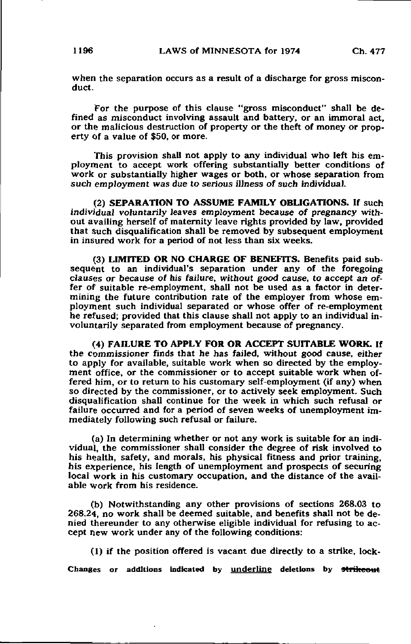when the separation occurs as a result of a discharge for gross misconduct.

For the purpose of this clause "gross misconduct" shall be defined as misconduct involving assault and battery, or an immoral act, or the malicious destruction of property or the theft of money or property of a value of \$50, or more.

This provision shall not apply to any individual who left his employment to accept work offering substantially better conditions of work or substantially higher wages or both, or whose separation from such employment was due to serious illness of such individual.

(2) SEPARATION TO ASSUME FAMILY OBLIGATIONS. If such individual voluntarily leaves employment because of pregnancy without availing herself of maternity leave rights provided by law, provided that such disqualification shall be removed by subsequent employment in insured work for a period of not less than six weeks.

(3) LIMITED OR NO CHARGE OF BENEFITS. Benefits paid subsequent to an individual's separation under any of the foregoing clauses or because of his failure, without good cause, to accept an offer of suitable re-employment, shall not be used as a factor in determining the future contribution rate of the employer from whose employment such individual separated or whose offer of re-employment he refused; provided that this clause shall not apply to an individual involuntarily separated from employment because of pregnancy.

(4) FAILURE TO APPLY FOR OR ACCEPT SUITABLE WORK. If the commissioner finds that he has failed, without good cause, either to apply for available, suitable work when so directed by the employment office, or the commissioner or to accept suitable work when offered him, or to return to his customary self-employment (if any) when so directed by the commissioner, or to actively seek employment. Such disqualification shall continue for the week in which such refusal or failure occurred and for a period of seven weeks of unemployment immediately following such refusal or failure.

(a) In determining whether or not any work is suitable for an individual, the commissioner shall consider the degree of risk involved to his health, safety, and morals, his physical fitness and prior training, his experience, his length of unemployment and prospects of securing local work in his customary occupation, and the distance of the available work from his residence.

(b) Notwithstanding any other provisions of sections 268.03 to 268.24, no work shall be deemed suitable, and benefits shall not be denied thereunder to any otherwise eligible individual for refusing to accept new work under any of the following conditions:

(1) if the position offered is vacant due directly to a strike, lock-

Changes or additions indicated by underline deletions by strikeout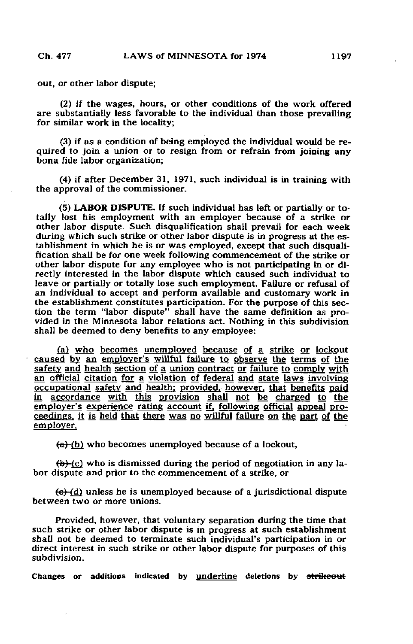out, or other labor dispute;

(2) if the wages, hours, or other conditions of the work offered are substantially less favorable to the individual than those prevailing for similar work in the locality;

(3) if as a condition of being employed the individual would be required to join a union or to resign from or refrain from joining any bona fide labor organization;

(4) if after December 31, 1971, such individual is in training with the approval of the commissioner.

(5) LABOR DISPUTE. If such individual has left or partially or totally lost his employment with an employer because of a strike or other labor dispute. Such disqualification shall prevail for each week during which such strike or other labor dispute is in progress at the establishment in which he is or was employed, except that such disqualification shall be for one week following commencement of the strike or other labor dispute for any employee who is not participating in or directly interested in the labor dispute which caused such individual to leave or partially or totally lose such employment. Failure or refusal of an individual to accept and perform available and customary work in the establishment constitutes participation. For the purpose of this section the term "labor dispute" shall have the same definition as provided in the Minnesota labor relations act. Nothing in this subdivision shall be deemed to deny benefits to any employee:

(a) who becomes unemployed because of a strike or lockout caused by an employer's willful failure to observe the terms of the safety and health section of a union contract or failure to comply with an official citation for a violation of federal and state laws involving occupational safety and health; provided, however, that benefits paid in accordance with this provision shall not be charged to the employer's experience rating account if, following official appeal proceedings, it is held that there was no willful failure on the part of the employer.

 $(a)$  (b) who becomes unemployed because of a lockout,

 $\left\langle \phi \right\rangle$  (c) who is dismissed during the period of negotiation in any labor dispute and prior to the commencement of a strike, or

 $(e)$  (d) unless he is unemployed because of a jurisdictional dispute between two or more unions.

Provided, however, that voluntary separation during the time that such strike or other labor dispute is in progress at such establishment shall not be deemed to terminate such individual's participation in or direct interest in such strike or other labor dispute for purposes of this subdivision.

Changes or additions indicated by underline deletions by strikeout